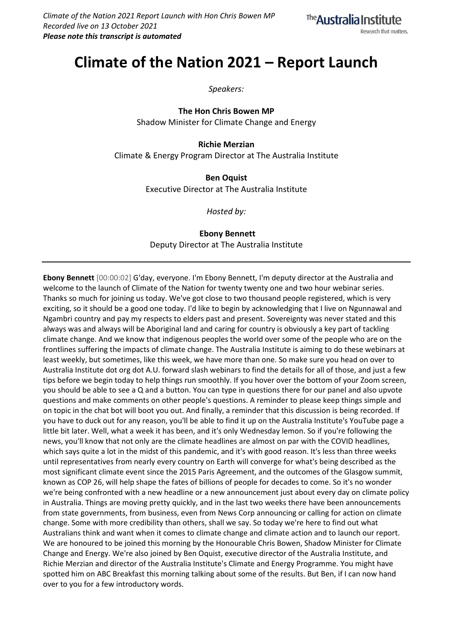

# **Climate of the Nation 2021 – Report Launch**

*Speakers:*

**The Hon Chris Bowen MP** Shadow Minister for Climate Change and Energy

**Richie Merzian** Climate & Energy Program Director at The Australia Institute

> **Ben Oquist** Executive Director at The Australia Institute

> > *Hosted by:*

**Ebony Bennett** Deputy Director at The Australia Institute

**Ebony Bennett** [00:00:02] G'day, everyone. I'm Ebony Bennett, I'm deputy director at the Australia and welcome to the launch of Climate of the Nation for twenty twenty one and two hour webinar series. Thanks so much for joining us today. We've got close to two thousand people registered, which is very exciting, so it should be a good one today. I'd like to begin by acknowledging that I live on Ngunnawal and Ngambri country and pay my respects to elders past and present. Sovereignty was never stated and this always was and always will be Aboriginal land and caring for country is obviously a key part of tackling climate change. And we know that indigenous peoples the world over some of the people who are on the frontlines suffering the impacts of climate change. The Australia Institute is aiming to do these webinars at least weekly, but sometimes, like this week, we have more than one. So make sure you head on over to Australia Institute dot org dot A.U. forward slash webinars to find the details for all of those, and just a few tips before we begin today to help things run smoothly. If you hover over the bottom of your Zoom screen, you should be able to see a Q and a button. You can type in questions there for our panel and also upvote questions and make comments on other people's questions. A reminder to please keep things simple and on topic in the chat bot will boot you out. And finally, a reminder that this discussion is being recorded. If you have to duck out for any reason, you'll be able to find it up on the Australia Institute's YouTube page a little bit later. Well, what a week it has been, and it's only Wednesday lemon. So if you're following the news, you'll know that not only are the climate headlines are almost on par with the COVID headlines, which says quite a lot in the midst of this pandemic, and it's with good reason. It's less than three weeks until representatives from nearly every country on Earth will converge for what's being described as the most significant climate event since the 2015 Paris Agreement, and the outcomes of the Glasgow summit, known as COP 26, will help shape the fates of billions of people for decades to come. So it's no wonder we're being confronted with a new headline or a new announcement just about every day on climate policy in Australia. Things are moving pretty quickly, and in the last two weeks there have been announcements from state governments, from business, even from News Corp announcing or calling for action on climate change. Some with more credibility than others, shall we say. So today we're here to find out what Australians think and want when it comes to climate change and climate action and to launch our report. We are honoured to be joined this morning by the Honourable Chris Bowen, Shadow Minister for Climate Change and Energy. We're also joined by Ben Oquist, executive director of the Australia Institute, and Richie Merzian and director of the Australia Institute's Climate and Energy Programme. You might have spotted him on ABC Breakfast this morning talking about some of the results. But Ben, if I can now hand over to you for a few introductory words.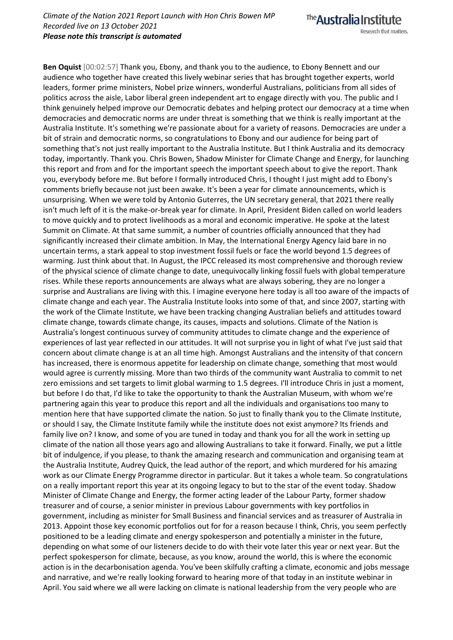The **Australia Institute** Research that matters.

**Ben Oquist** [00:02:57] Thank you, Ebony, and thank you to the audience, to Ebony Bennett and our audience who together have created this lively webinar series that has brought together experts, world leaders, former prime ministers, Nobel prize winners, wonderful Australians, politicians from all sides of politics across the aisle, Labor liberal green independent art to engage directly with you. The public and I think genuinely helped improve our Democratic debates and helping protect our democracy at a time when democracies and democratic norms are under threat is something that we think is really important at the Australia Institute. It's something we're passionate about for a variety of reasons. Democracies are under a bit of strain and democratic norms, so congratulations to Ebony and our audience for being part of something that's not just really important to the Australia Institute. But I think Australia and its democracy today, importantly. Thank you. Chris Bowen, Shadow Minister for Climate Change and Energy, for launching this report and from and for the important speech the important speech about to give the report. Thank you, everybody before me. But before I formally introduced Chris, I thought I just might add to Ebony's comments briefly because not just been awake. It's been a year for climate announcements, which is unsurprising. When we were told by Antonio Guterres, the UN secretary general, that 2021 there really isn't much left of it is the make-or-break year for climate. In April, President Biden called on world leaders to move quickly and to protect livelihoods as a moral and economic imperative. He spoke at the latest Summit on Climate. At that same summit, a number of countries officially announced that they had significantly increased their climate ambition. In May, the International Energy Agency laid bare in no uncertain terms, a stark appeal to stop investment fossil fuels or face the world beyond 1.5 degrees of warming. Just think about that. In August, the IPCC released its most comprehensive and thorough review of the physical science of climate change to date, unequivocally linking fossil fuels with global temperature rises. While these reports announcements are always what are always sobering, they are no longer a surprise and Australians are living with this. I imagine everyone here today is all too aware of the impacts of climate change and each year. The Australia Institute looks into some of that, and since 2007, starting with the work of the Climate Institute, we have been tracking changing Australian beliefs and attitudes toward climate change, towards climate change, its causes, impacts and solutions. Climate of the Nation is Australia's longest continuous survey of community attitudes to climate change and the experience of experiences of last year reflected in our attitudes. It will not surprise you in light of what I've just said that concern about climate change is at an all time high. Amongst Australians and the intensity of that concern has increased, there is enormous appetite for leadership on climate change, something that most would would agree is currently missing. More than two thirds of the community want Australia to commit to net zero emissions and set targets to limit global warming to 1.5 degrees. I'll introduce Chris in just a moment, but before I do that, I'd like to take the opportunity to thank the Australian Museum, with whom we're partnering again this year to produce this report and all the individuals and organisations too many to mention here that have supported climate the nation. So just to finally thank you to the Climate Institute, or should I say, the Climate Institute family while the institute does not exist anymore? Its friends and family live on? I know, and some of you are tuned in today and thank you for all the work in setting up climate of the nation all those years ago and allowing Australians to take it forward. Finally, we put a little bit of indulgence, if you please, to thank the amazing research and communication and organising team at the Australia Institute, Audrey Quick, the lead author of the report, and which murdered for his amazing work as our Climate Energy Programme director in particular. But it takes a whole team. So congratulations on a really important report this year at its ongoing legacy to but to the star of the event today. Shadow Minister of Climate Change and Energy, the former acting leader of the Labour Party, former shadow treasurer and of course, a senior minister in previous Labour governments with key portfolios in government, including as minister for Small Business and financial services and as treasurer of Australia in 2013. Appoint those key economic portfolios out for for a reason because I think, Chris, you seem perfectly positioned to be a leading climate and energy spokesperson and potentially a minister in the future, depending on what some of our listeners decide to do with their vote later this year or next year. But the perfect spokesperson for climate, because, as you know, around the world, this is where the economic action is in the decarbonisation agenda. You've been skilfully crafting a climate, economic and jobs message and narrative, and we're really looking forward to hearing more of that today in an institute webinar in April. You said where we all were lacking on climate is national leadership from the very people who are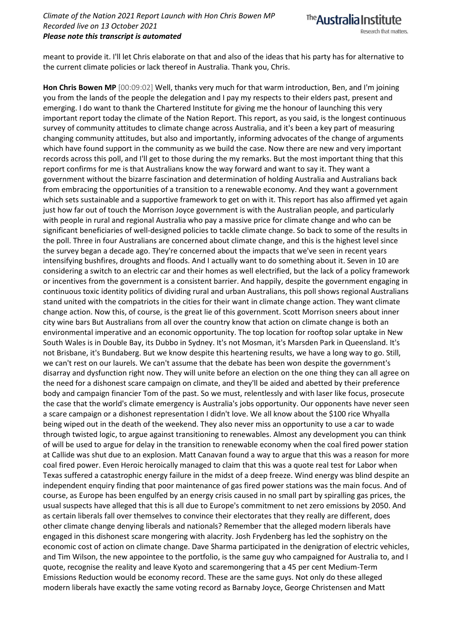

meant to provide it. I'll let Chris elaborate on that and also of the ideas that his party has for alternative to the current climate policies or lack thereof in Australia. Thank you, Chris.

**Hon Chris Bowen MP** [00:09:02] Well, thanks very much for that warm introduction, Ben, and I'm joining you from the lands of the people the delegation and I pay my respects to their elders past, present and emerging. I do want to thank the Chartered Institute for giving me the honour of launching this very important report today the climate of the Nation Report. This report, as you said, is the longest continuous survey of community attitudes to climate change across Australia, and it's been a key part of measuring changing community attitudes, but also and importantly, informing advocates of the change of arguments which have found support in the community as we build the case. Now there are new and very important records across this poll, and I'll get to those during the my remarks. But the most important thing that this report confirms for me is that Australians know the way forward and want to say it. They want a government without the bizarre fascination and determination of holding Australia and Australians back from embracing the opportunities of a transition to a renewable economy. And they want a government which sets sustainable and a supportive framework to get on with it. This report has also affirmed yet again just how far out of touch the Morrison Joyce government is with the Australian people, and particularly with people in rural and regional Australia who pay a massive price for climate change and who can be significant beneficiaries of well-designed policies to tackle climate change. So back to some of the results in the poll. Three in four Australians are concerned about climate change, and this is the highest level since the survey began a decade ago. They're concerned about the impacts that we've seen in recent years intensifying bushfires, droughts and floods. And I actually want to do something about it. Seven in 10 are considering a switch to an electric car and their homes as well electrified, but the lack of a policy framework or incentives from the government is a consistent barrier. And happily, despite the government engaging in continuous toxic identity politics of dividing rural and urban Australians, this poll shows regional Australians stand united with the compatriots in the cities for their want in climate change action. They want climate change action. Now this, of course, is the great lie of this government. Scott Morrison sneers about inner city wine bars But Australians from all over the country know that action on climate change is both an environmental imperative and an economic opportunity. The top location for rooftop solar uptake in New South Wales is in Double Bay, its Dubbo in Sydney. It's not Mosman, it's Marsden Park in Queensland. It's not Brisbane, it's Bundaberg. But we know despite this heartening results, we have a long way to go. Still, we can't rest on our laurels. We can't assume that the debate has been won despite the government's disarray and dysfunction right now. They will unite before an election on the one thing they can all agree on the need for a dishonest scare campaign on climate, and they'll be aided and abetted by their preference body and campaign financier Tom of the past. So we must, relentlessly and with laser like focus, prosecute the case that the world's climate emergency is Australia's jobs opportunity. Our opponents have never seen a scare campaign or a dishonest representation I didn't love. We all know about the \$100 rice Whyalla being wiped out in the death of the weekend. They also never miss an opportunity to use a car to wade through twisted logic, to argue against transitioning to renewables. Almost any development you can think of will be used to argue for delay in the transition to renewable economy when the coal fired power station at Callide was shut due to an explosion. Matt Canavan found a way to argue that this was a reason for more coal fired power. Even Heroic heroically managed to claim that this was a quote real test for Labor when Texas suffered a catastrophic energy failure in the midst of a deep freeze. Wind energy was blind despite an independent enquiry finding that poor maintenance of gas fired power stations was the main focus. And of course, as Europe has been engulfed by an energy crisis caused in no small part by spiralling gas prices, the usual suspects have alleged that this is all due to Europe's commitment to net zero emissions by 2050. And as certain liberals fall over themselves to convince their electorates that they really are different, does other climate change denying liberals and nationals? Remember that the alleged modern liberals have engaged in this dishonest scare mongering with alacrity. Josh Frydenberg has led the sophistry on the economic cost of action on climate change. Dave Sharma participated in the denigration of electric vehicles, and Tim Wilson, the new appointee to the portfolio, is the same guy who campaigned for Australia to, and I quote, recognise the reality and leave Kyoto and scaremongering that a 45 per cent Medium-Term Emissions Reduction would be economy record. These are the same guys. Not only do these alleged modern liberals have exactly the same voting record as Barnaby Joyce, George Christensen and Matt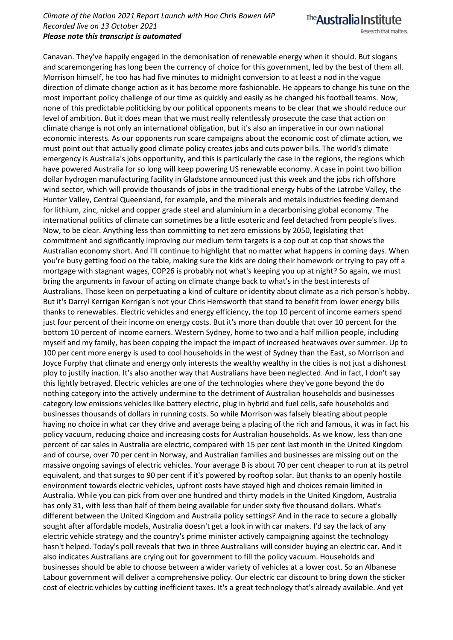The **Australia Institute** 

Research that matters.

Canavan. They've happily engaged in the demonisation of renewable energy when it should. But slogans and scaremongering has long been the currency of choice for this government, led by the best of them all. Morrison himself, he too has had five minutes to midnight conversion to at least a nod in the vague direction of climate change action as it has become more fashionable. He appears to change his tune on the most important policy challenge of our time as quickly and easily as he changed his football teams. Now, none of this predictable politicking by our political opponents means to be clear that we should reduce our level of ambition. But it does mean that we must really relentlessly prosecute the case that action on climate change is not only an international obligation, but it's also an imperative in our own national economic interests. As our opponents run scare campaigns about the economic cost of climate action, we must point out that actually good climate policy creates jobs and cuts power bills. The world's climate emergency is Australia's jobs opportunity, and this is particularly the case in the regions, the regions which have powered Australia for so long will keep powering US renewable economy. A case in point two billion dollar hydrogen manufacturing facility in Gladstone announced just this week and the jobs rich offshore wind sector, which will provide thousands of jobs in the traditional energy hubs of the Latrobe Valley, the Hunter Valley, Central Queensland, for example, and the minerals and metals industries feeding demand for lithium, zinc, nickel and copper grade steel and aluminium in a decarbonising global economy. The international politics of climate can sometimes be a little esoteric and feel detached from people's lives. Now, to be clear. Anything less than committing to net zero emissions by 2050, legislating that commitment and significantly improving our medium term targets is a cop out at cop that shows the Australian economy short. And I'll continue to highlight that no matter what happens in coming days. When you're busy getting food on the table, making sure the kids are doing their homework or trying to pay off a mortgage with stagnant wages, COP26 is probably not what's keeping you up at night? So again, we must bring the arguments in favour of acting on climate change back to what's in the best interests of Australians. Those keen on perpetuating a kind of culture or identity about climate as a rich person's hobby. But it's Darryl Kerrigan Kerrigan's not your Chris Hemsworth that stand to benefit from lower energy bills thanks to renewables. Electric vehicles and energy efficiency, the top 10 percent of income earners spend just four percent of their income on energy costs. But it's more than double that over 10 percent for the bottom 10 percent of income earners. Western Sydney, home to two and a half million people, including myself and my family, has been copping the impact the impact of increased heatwaves over summer. Up to 100 per cent more energy is used to cool households in the west of Sydney than the East, so Morrison and Joyce Furphy that climate and energy only interests the wealthy wealthy in the cities is not just a dishonest ploy to justify inaction. It's also another way that Australians have been neglected. And in fact, I don't say this lightly betrayed. Electric vehicles are one of the technologies where they've gone beyond the do nothing category into the actively undermine to the detriment of Australian households and businesses category low emissions vehicles like battery electric, plug in hybrid and fuel cells, safe households and businesses thousands of dollars in running costs. So while Morrison was falsely bleating about people having no choice in what car they drive and average being a placing of the rich and famous, it was in fact his policy vacuum, reducing choice and increasing costs for Australian households. As we know, less than one percent of car sales in Australia are electric, compared with 15 per cent last month in the United Kingdom and of course, over 70 per cent in Norway, and Australian families and businesses are missing out on the massive ongoing savings of electric vehicles. Your average B is about 70 per cent cheaper to run at its petrol equivalent, and that surges to 90 per cent if it's powered by rooftop solar. But thanks to an openly hostile environment towards electric vehicles, upfront costs have stayed high and choices remain limited in Australia. While you can pick from over one hundred and thirty models in the United Kingdom, Australia has only 31, with less than half of them being available for under sixty five thousand dollars. What's different between the United Kingdom and Australia policy settings? And in the race to secure a globally sought after affordable models, Australia doesn't get a look in with car makers. I'd say the lack of any electric vehicle strategy and the country's prime minister actively campaigning against the technology hasn't helped. Today's poll reveals that two in three Australians will consider buying an electric car. And it also indicates Australians are crying out for government to fill the policy vacuum. Households and businesses should be able to choose between a wider variety of vehicles at a lower cost. So an Albanese Labour government will deliver a comprehensive policy. Our electric car discount to bring down the sticker cost of electric vehicles by cutting inefficient taxes. It's a great technology that's already available. And yet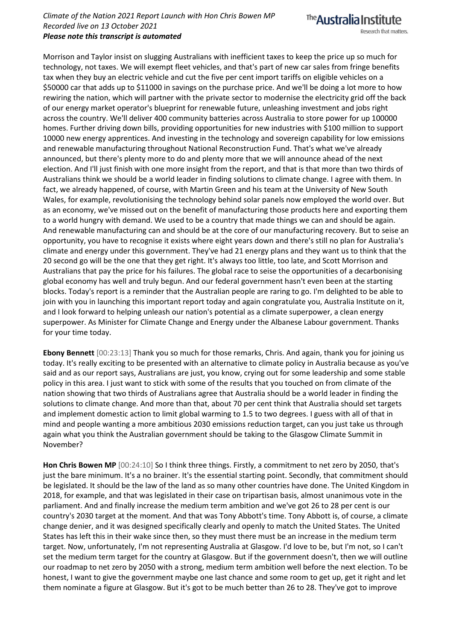The Australia Institute

Research that matters.

Morrison and Taylor insist on slugging Australians with inefficient taxes to keep the price up so much for technology, not taxes. We will exempt fleet vehicles, and that's part of new car sales from fringe benefits tax when they buy an electric vehicle and cut the five per cent import tariffs on eligible vehicles on a \$50000 car that adds up to \$11000 in savings on the purchase price. And we'll be doing a lot more to how rewiring the nation, which will partner with the private sector to modernise the electricity grid off the back of our energy market operator's blueprint for renewable future, unleashing investment and jobs right across the country. We'll deliver 400 community batteries across Australia to store power for up 100000 homes. Further driving down bills, providing opportunities for new industries with \$100 million to support 10000 new energy apprentices. And investing in the technology and sovereign capability for low emissions and renewable manufacturing throughout National Reconstruction Fund. That's what we've already announced, but there's plenty more to do and plenty more that we will announce ahead of the next election. And I'll just finish with one more insight from the report, and that is that more than two thirds of Australians think we should be a world leader in finding solutions to climate change. I agree with them. In fact, we already happened, of course, with Martin Green and his team at the University of New South Wales, for example, revolutionising the technology behind solar panels now employed the world over. But as an economy, we've missed out on the benefit of manufacturing those products here and exporting them to a world hungry with demand. We used to be a country that made things we can and should be again. And renewable manufacturing can and should be at the core of our manufacturing recovery. But to seise an opportunity, you have to recognise it exists where eight years down and there's still no plan for Australia's climate and energy under this government. They've had 21 energy plans and they want us to think that the 20 second go will be the one that they get right. It's always too little, too late, and Scott Morrison and Australians that pay the price for his failures. The global race to seise the opportunities of a decarbonising global economy has well and truly begun. And our federal government hasn't even been at the starting blocks. Today's report is a reminder that the Australian people are raring to go. I'm delighted to be able to join with you in launching this important report today and again congratulate you, Australia Institute on it, and I look forward to helping unleash our nation's potential as a climate superpower, a clean energy superpower. As Minister for Climate Change and Energy under the Albanese Labour government. Thanks for your time today.

**Ebony Bennett** [00:23:13] Thank you so much for those remarks, Chris. And again, thank you for joining us today. It's really exciting to be presented with an alternative to climate policy in Australia because as you've said and as our report says, Australians are just, you know, crying out for some leadership and some stable policy in this area. I just want to stick with some of the results that you touched on from climate of the nation showing that two thirds of Australians agree that Australia should be a world leader in finding the solutions to climate change. And more than that, about 70 per cent think that Australia should set targets and implement domestic action to limit global warming to 1.5 to two degrees. I guess with all of that in mind and people wanting a more ambitious 2030 emissions reduction target, can you just take us through again what you think the Australian government should be taking to the Glasgow Climate Summit in November?

**Hon Chris Bowen MP** [00:24:10] So I think three things. Firstly, a commitment to net zero by 2050, that's just the bare minimum. It's a no brainer. It's the essential starting point. Secondly, that commitment should be legislated. It should be the law of the land as so many other countries have done. The United Kingdom in 2018, for example, and that was legislated in their case on tripartisan basis, almost unanimous vote in the parliament. And and finally increase the medium term ambition and we've got 26 to 28 per cent is our country's 2030 target at the moment. And that was Tony Abbott's time. Tony Abbott is, of course, a climate change denier, and it was designed specifically clearly and openly to match the United States. The United States has left this in their wake since then, so they must there must be an increase in the medium term target. Now, unfortunately, I'm not representing Australia at Glasgow. I'd love to be, but I'm not, so I can't set the medium term target for the country at Glasgow. But if the government doesn't, then we will outline our roadmap to net zero by 2050 with a strong, medium term ambition well before the next election. To be honest, I want to give the government maybe one last chance and some room to get up, get it right and let them nominate a figure at Glasgow. But it's got to be much better than 26 to 28. They've got to improve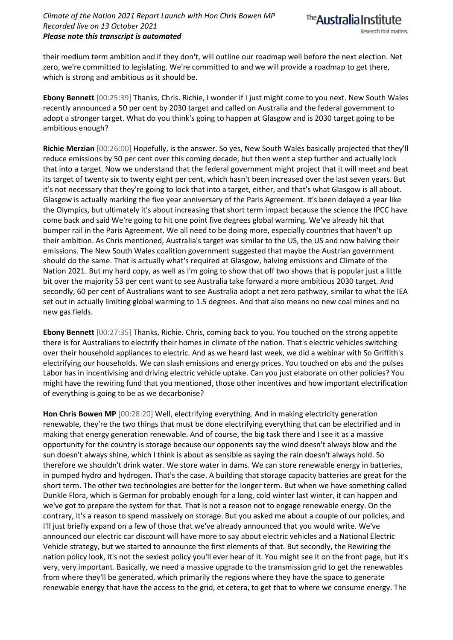their medium term ambition and if they don't, will outline our roadmap well before the next election. Net zero, we're committed to legislating. We're committed to and we will provide a roadmap to get there, which is strong and ambitious as it should be.

**Ebony Bennett** [00:25:39] Thanks, Chris. Richie, I wonder if I just might come to you next. New South Wales recently announced a 50 per cent by 2030 target and called on Australia and the federal government to adopt a stronger target. What do you think's going to happen at Glasgow and is 2030 target going to be ambitious enough?

**Richie Merzian** [00:26:00] Hopefully, is the answer. So yes, New South Wales basically projected that they'll reduce emissions by 50 per cent over this coming decade, but then went a step further and actually lock that into a target. Now we understand that the federal government might project that it will meet and beat its target of twenty six to twenty eight per cent, which hasn't been increased over the last seven years. But it's not necessary that they're going to lock that into a target, either, and that's what Glasgow is all about. Glasgow is actually marking the five year anniversary of the Paris Agreement. It's been delayed a year like the Olympics, but ultimately it's about increasing that short term impact because the science the IPCC have come back and said We're going to hit one point five degrees global warming. We've already hit that bumper rail in the Paris Agreement. We all need to be doing more, especially countries that haven't up their ambition. As Chris mentioned, Australia's target was similar to the US, the US and now halving their emissions. The New South Wales coalition government suggested that maybe the Austrian government should do the same. That is actually what's required at Glasgow, halving emissions and Climate of the Nation 2021. But my hard copy, as well as I'm going to show that off two shows that is popular just a little bit over the majority 53 per cent want to see Australia take forward a more ambitious 2030 target. And secondly, 60 per cent of Australians want to see Australia adopt a net zero pathway, similar to what the IEA set out in actually limiting global warming to 1.5 degrees. And that also means no new coal mines and no new gas fields.

**Ebony Bennett** [00:27:35] Thanks, Richie. Chris, coming back to you. You touched on the strong appetite there is for Australians to electrify their homes in climate of the nation. That's electric vehicles switching over their household appliances to electric. And as we heard last week, we did a webinar with So Griffith's electrifying our households. We can slash emissions and energy prices. You touched on abs and the pulses Labor has in incentivising and driving electric vehicle uptake. Can you just elaborate on other policies? You might have the rewiring fund that you mentioned, those other incentives and how important electrification of everything is going to be as we decarbonise?

**Hon Chris Bowen MP** [00:28:20] Well, electrifying everything. And in making electricity generation renewable, they're the two things that must be done electrifying everything that can be electrified and in making that energy generation renewable. And of course, the big task there and I see it as a massive opportunity for the country is storage because our opponents say the wind doesn't always blow and the sun doesn't always shine, which I think is about as sensible as saying the rain doesn't always hold. So therefore we shouldn't drink water. We store water in dams. We can store renewable energy in batteries, in pumped hydro and hydrogen. That's the case. A building that storage capacity batteries are great for the short term. The other two technologies are better for the longer term. But when we have something called Dunkle Flora, which is German for probably enough for a long, cold winter last winter, it can happen and we've got to prepare the system for that. That is not a reason not to engage renewable energy. On the contrary, it's a reason to spend massively on storage. But you asked me about a couple of our policies, and I'll just briefly expand on a few of those that we've already announced that you would write. We've announced our electric car discount will have more to say about electric vehicles and a National Electric Vehicle strategy, but we started to announce the first elements of that. But secondly, the Rewiring the nation policy look, it's not the sexiest policy you'll ever hear of it. You might see it on the front page, but it's very, very important. Basically, we need a massive upgrade to the transmission grid to get the renewables from where they'll be generated, which primarily the regions where they have the space to generate renewable energy that have the access to the grid, et cetera, to get that to where we consume energy. The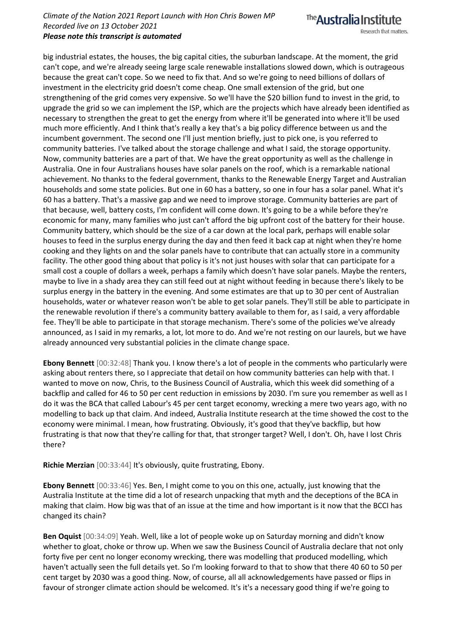The **Australia Institute** 

esearch that matters.

big industrial estates, the houses, the big capital cities, the suburban landscape. At the moment, the grid can't cope, and we're already seeing large scale renewable installations slowed down, which is outrageous because the great can't cope. So we need to fix that. And so we're going to need billions of dollars of investment in the electricity grid doesn't come cheap. One small extension of the grid, but one strengthening of the grid comes very expensive. So we'll have the \$20 billion fund to invest in the grid, to upgrade the grid so we can implement the ISP, which are the projects which have already been identified as necessary to strengthen the great to get the energy from where it'll be generated into where it'll be used much more efficiently. And I think that's really a key that's a big policy difference between us and the incumbent government. The second one I'll just mention briefly, just to pick one, is you referred to community batteries. I've talked about the storage challenge and what I said, the storage opportunity. Now, community batteries are a part of that. We have the great opportunity as well as the challenge in Australia. One in four Australians houses have solar panels on the roof, which is a remarkable national achievement. No thanks to the federal government, thanks to the Renewable Energy Target and Australian households and some state policies. But one in 60 has a battery, so one in four has a solar panel. What it's 60 has a battery. That's a massive gap and we need to improve storage. Community batteries are part of that because, well, battery costs, I'm confident will come down. It's going to be a while before they're economic for many, many families who just can't afford the big upfront cost of the battery for their house. Community battery, which should be the size of a car down at the local park, perhaps will enable solar houses to feed in the surplus energy during the day and then feed it back cap at night when they're home cooking and they lights on and the solar panels have to contribute that can actually store in a community facility. The other good thing about that policy is it's not just houses with solar that can participate for a small cost a couple of dollars a week, perhaps a family which doesn't have solar panels. Maybe the renters, maybe to live in a shady area they can still feed out at night without feeding in because there's likely to be surplus energy in the battery in the evening. And some estimates are that up to 30 per cent of Australian households, water or whatever reason won't be able to get solar panels. They'll still be able to participate in the renewable revolution if there's a community battery available to them for, as I said, a very affordable fee. They'll be able to participate in that storage mechanism. There's some of the policies we've already announced, as I said in my remarks, a lot, lot more to do. And we're not resting on our laurels, but we have already announced very substantial policies in the climate change space.

**Ebony Bennett** [00:32:48] Thank you. I know there's a lot of people in the comments who particularly were asking about renters there, so I appreciate that detail on how community batteries can help with that. I wanted to move on now, Chris, to the Business Council of Australia, which this week did something of a backflip and called for 46 to 50 per cent reduction in emissions by 2030. I'm sure you remember as well as I do it was the BCA that called Labour's 45 per cent target economy, wrecking a mere two years ago, with no modelling to back up that claim. And indeed, Australia Institute research at the time showed the cost to the economy were minimal. I mean, how frustrating. Obviously, it's good that they've backflip, but how frustrating is that now that they're calling for that, that stronger target? Well, I don't. Oh, have I lost Chris there?

**Richie Merzian** [00:33:44] It's obviously, quite frustrating, Ebony.

**Ebony Bennett** [00:33:46] Yes. Ben, I might come to you on this one, actually, just knowing that the Australia Institute at the time did a lot of research unpacking that myth and the deceptions of the BCA in making that claim. How big was that of an issue at the time and how important is it now that the BCCI has changed its chain?

**Ben Oquist** [00:34:09] Yeah. Well, like a lot of people woke up on Saturday morning and didn't know whether to gloat, choke or throw up. When we saw the Business Council of Australia declare that not only forty five per cent no longer economy wrecking, there was modelling that produced modelling, which haven't actually seen the full details yet. So I'm looking forward to that to show that there 40 60 to 50 per cent target by 2030 was a good thing. Now, of course, all all acknowledgements have passed or flips in favour of stronger climate action should be welcomed. It's it's a necessary good thing if we're going to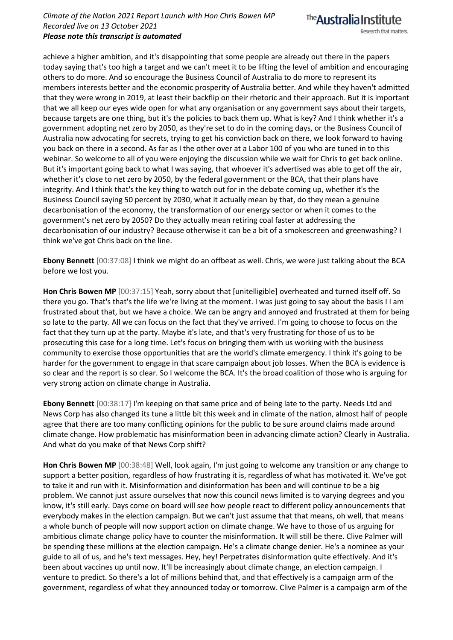

Research that matters.

achieve a higher ambition, and it's disappointing that some people are already out there in the papers today saying that's too high a target and we can't meet it to be lifting the level of ambition and encouraging others to do more. And so encourage the Business Council of Australia to do more to represent its members interests better and the economic prosperity of Australia better. And while they haven't admitted that they were wrong in 2019, at least their backflip on their rhetoric and their approach. But it is important that we all keep our eyes wide open for what any organisation or any government says about their targets, because targets are one thing, but it's the policies to back them up. What is key? And I think whether it's a government adopting net zero by 2050, as they're set to do in the coming days, or the Business Council of Australia now advocating for secrets, trying to get his conviction back on there, we look forward to having you back on there in a second. As far as I the other over at a Labor 100 of you who are tuned in to this webinar. So welcome to all of you were enjoying the discussion while we wait for Chris to get back online. But it's important going back to what I was saying, that whoever it's advertised was able to get off the air, whether it's close to net zero by 2050, by the federal government or the BCA, that their plans have integrity. And I think that's the key thing to watch out for in the debate coming up, whether it's the Business Council saying 50 percent by 2030, what it actually mean by that, do they mean a genuine decarbonisation of the economy, the transformation of our energy sector or when it comes to the government's net zero by 2050? Do they actually mean retiring coal faster at addressing the decarbonisation of our industry? Because otherwise it can be a bit of a smokescreen and greenwashing? I think we've got Chris back on the line.

**Ebony Bennett** [00:37:08] I think we might do an offbeat as well. Chris, we were just talking about the BCA before we lost you.

**Hon Chris Bowen MP** [00:37:15] Yeah, sorry about that [unitelligible] overheated and turned itself off. So there you go. That's that's the life we're living at the moment. I was just going to say about the basis I I am frustrated about that, but we have a choice. We can be angry and annoyed and frustrated at them for being so late to the party. All we can focus on the fact that they've arrived. I'm going to choose to focus on the fact that they turn up at the party. Maybe it's late, and that's very frustrating for those of us to be prosecuting this case for a long time. Let's focus on bringing them with us working with the business community to exercise those opportunities that are the world's climate emergency. I think it's going to be harder for the government to engage in that scare campaign about job losses. When the BCA is evidence is so clear and the report is so clear. So I welcome the BCA. It's the broad coalition of those who is arguing for very strong action on climate change in Australia.

**Ebony Bennett** [00:38:17] I'm keeping on that same price and of being late to the party. Needs Ltd and News Corp has also changed its tune a little bit this week and in climate of the nation, almost half of people agree that there are too many conflicting opinions for the public to be sure around claims made around climate change. How problematic has misinformation been in advancing climate action? Clearly in Australia. And what do you make of that News Corp shift?

**Hon Chris Bowen MP** [00:38:48] Well, look again, I'm just going to welcome any transition or any change to support a better position, regardless of how frustrating it is, regardless of what has motivated it. We've got to take it and run with it. Misinformation and disinformation has been and will continue to be a big problem. We cannot just assure ourselves that now this council news limited is to varying degrees and you know, it's still early. Days come on board will see how people react to different policy announcements that everybody makes in the election campaign. But we can't just assume that that means, oh well, that means a whole bunch of people will now support action on climate change. We have to those of us arguing for ambitious climate change policy have to counter the misinformation. It will still be there. Clive Palmer will be spending these millions at the election campaign. He's a climate change denier. He's a nominee as your guide to all of us, and he's text messages. Hey, hey! Perpetrates disinformation quite effectively. And it's been about vaccines up until now. It'll be increasingly about climate change, an election campaign. I venture to predict. So there's a lot of millions behind that, and that effectively is a campaign arm of the government, regardless of what they announced today or tomorrow. Clive Palmer is a campaign arm of the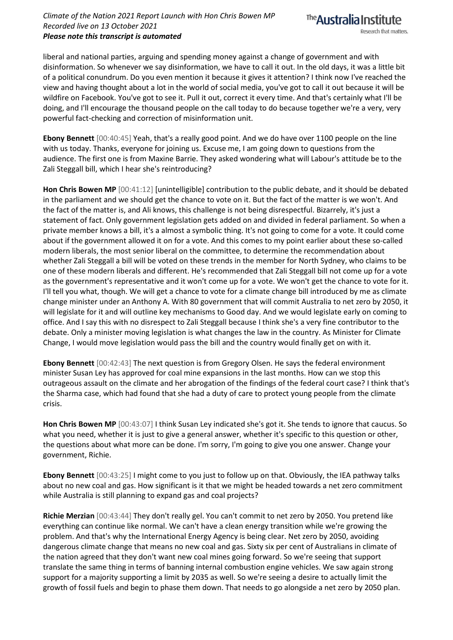

liberal and national parties, arguing and spending money against a change of government and with disinformation. So whenever we say disinformation, we have to call it out. In the old days, it was a little bit of a political conundrum. Do you even mention it because it gives it attention? I think now I've reached the view and having thought about a lot in the world of social media, you've got to call it out because it will be wildfire on Facebook. You've got to see it. Pull it out, correct it every time. And that's certainly what I'll be doing, and I'll encourage the thousand people on the call today to do because together we're a very, very powerful fact-checking and correction of misinformation unit.

**Ebony Bennett** [00:40:45] Yeah, that's a really good point. And we do have over 1100 people on the line with us today. Thanks, everyone for joining us. Excuse me, I am going down to questions from the audience. The first one is from Maxine Barrie. They asked wondering what will Labour's attitude be to the Zali Steggall bill, which I hear she's reintroducing?

**Hon Chris Bowen MP** [00:41:12] [unintelligible] contribution to the public debate, and it should be debated in the parliament and we should get the chance to vote on it. But the fact of the matter is we won't. And the fact of the matter is, and Ali knows, this challenge is not being disrespectful. Bizarrely, it's just a statement of fact. Only government legislation gets added on and divided in federal parliament. So when a private member knows a bill, it's a almost a symbolic thing. It's not going to come for a vote. It could come about if the government allowed it on for a vote. And this comes to my point earlier about these so-called modern liberals, the most senior liberal on the committee, to determine the recommendation about whether Zali Steggall a bill will be voted on these trends in the member for North Sydney, who claims to be one of these modern liberals and different. He's recommended that Zali Steggall bill not come up for a vote as the government's representative and it won't come up for a vote. We won't get the chance to vote for it. I'll tell you what, though. We will get a chance to vote for a climate change bill introduced by me as climate change minister under an Anthony A. With 80 government that will commit Australia to net zero by 2050, it will legislate for it and will outline key mechanisms to Good day. And we would legislate early on coming to office. And I say this with no disrespect to Zali Steggall because I think she's a very fine contributor to the debate. Only a minister moving legislation is what changes the law in the country. As Minister for Climate Change, I would move legislation would pass the bill and the country would finally get on with it.

**Ebony Bennett** [00:42:43] The next question is from Gregory Olsen. He says the federal environment minister Susan Ley has approved for coal mine expansions in the last months. How can we stop this outrageous assault on the climate and her abrogation of the findings of the federal court case? I think that's the Sharma case, which had found that she had a duty of care to protect young people from the climate crisis.

**Hon Chris Bowen MP** [00:43:07] I think Susan Ley indicated she's got it. She tends to ignore that caucus. So what you need, whether it is just to give a general answer, whether it's specific to this question or other, the questions about what more can be done. I'm sorry, I'm going to give you one answer. Change your government, Richie.

**Ebony Bennett** [00:43:25] I might come to you just to follow up on that. Obviously, the IEA pathway talks about no new coal and gas. How significant is it that we might be headed towards a net zero commitment while Australia is still planning to expand gas and coal projects?

**Richie Merzian** [00:43:44] They don't really gel. You can't commit to net zero by 2050. You pretend like everything can continue like normal. We can't have a clean energy transition while we're growing the problem. And that's why the International Energy Agency is being clear. Net zero by 2050, avoiding dangerous climate change that means no new coal and gas. Sixty six per cent of Australians in climate of the nation agreed that they don't want new coal mines going forward. So we're seeing that support translate the same thing in terms of banning internal combustion engine vehicles. We saw again strong support for a majority supporting a limit by 2035 as well. So we're seeing a desire to actually limit the growth of fossil fuels and begin to phase them down. That needs to go alongside a net zero by 2050 plan.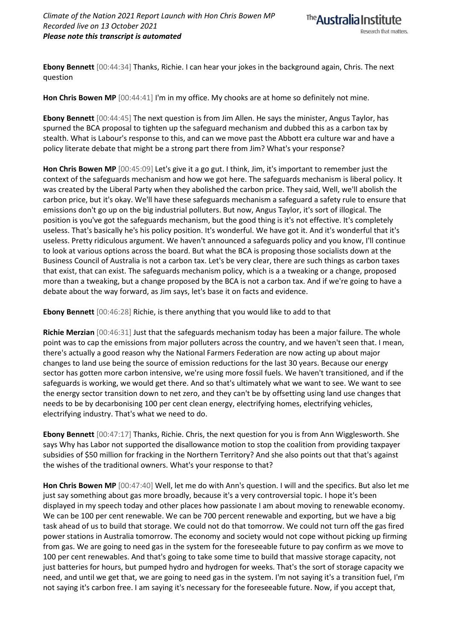

**Ebony Bennett** [00:44:34] Thanks, Richie. I can hear your jokes in the background again, Chris. The next question

**Hon Chris Bowen MP** [00:44:41] I'm in my office. My chooks are at home so definitely not mine.

**Ebony Bennett** [00:44:45] The next question is from Jim Allen. He says the minister, Angus Taylor, has spurned the BCA proposal to tighten up the safeguard mechanism and dubbed this as a carbon tax by stealth. What is Labour's response to this, and can we move past the Abbott era culture war and have a policy literate debate that might be a strong part there from Jim? What's your response?

**Hon Chris Bowen MP** [00:45:09] Let's give it a go gut. I think, Jim, it's important to remember just the context of the safeguards mechanism and how we got here. The safeguards mechanism is liberal policy. It was created by the Liberal Party when they abolished the carbon price. They said, Well, we'll abolish the carbon price, but it's okay. We'll have these safeguards mechanism a safeguard a safety rule to ensure that emissions don't go up on the big industrial polluters. But now, Angus Taylor, it's sort of illogical. The position is you've got the safeguards mechanism, but the good thing is it's not effective. It's completely useless. That's basically he's his policy position. It's wonderful. We have got it. And it's wonderful that it's useless. Pretty ridiculous argument. We haven't announced a safeguards policy and you know, I'll continue to look at various options across the board. But what the BCA is proposing those socialists down at the Business Council of Australia is not a carbon tax. Let's be very clear, there are such things as carbon taxes that exist, that can exist. The safeguards mechanism policy, which is a a tweaking or a change, proposed more than a tweaking, but a change proposed by the BCA is not a carbon tax. And if we're going to have a debate about the way forward, as Jim says, let's base it on facts and evidence.

**Ebony Bennett** [00:46:28] Richie, is there anything that you would like to add to that

**Richie Merzian** [00:46:31] Just that the safeguards mechanism today has been a major failure. The whole point was to cap the emissions from major polluters across the country, and we haven't seen that. I mean, there's actually a good reason why the National Farmers Federation are now acting up about major changes to land use being the source of emission reductions for the last 30 years. Because our energy sector has gotten more carbon intensive, we're using more fossil fuels. We haven't transitioned, and if the safeguards is working, we would get there. And so that's ultimately what we want to see. We want to see the energy sector transition down to net zero, and they can't be by offsetting using land use changes that needs to be by decarbonising 100 per cent clean energy, electrifying homes, electrifying vehicles, electrifying industry. That's what we need to do.

**Ebony Bennett** [00:47:17] Thanks, Richie. Chris, the next question for you is from Ann Wigglesworth. She says Why has Labor not supported the disallowance motion to stop the coalition from providing taxpayer subsidies of \$50 million for fracking in the Northern Territory? And she also points out that that's against the wishes of the traditional owners. What's your response to that?

**Hon Chris Bowen MP** [00:47:40] Well, let me do with Ann's question. I will and the specifics. But also let me just say something about gas more broadly, because it's a very controversial topic. I hope it's been displayed in my speech today and other places how passionate I am about moving to renewable economy. We can be 100 per cent renewable. We can be 700 percent renewable and exporting, but we have a big task ahead of us to build that storage. We could not do that tomorrow. We could not turn off the gas fired power stations in Australia tomorrow. The economy and society would not cope without picking up firming from gas. We are going to need gas in the system for the foreseeable future to pay confirm as we move to 100 per cent renewables. And that's going to take some time to build that massive storage capacity, not just batteries for hours, but pumped hydro and hydrogen for weeks. That's the sort of storage capacity we need, and until we get that, we are going to need gas in the system. I'm not saying it's a transition fuel, I'm not saying it's carbon free. I am saying it's necessary for the foreseeable future. Now, if you accept that,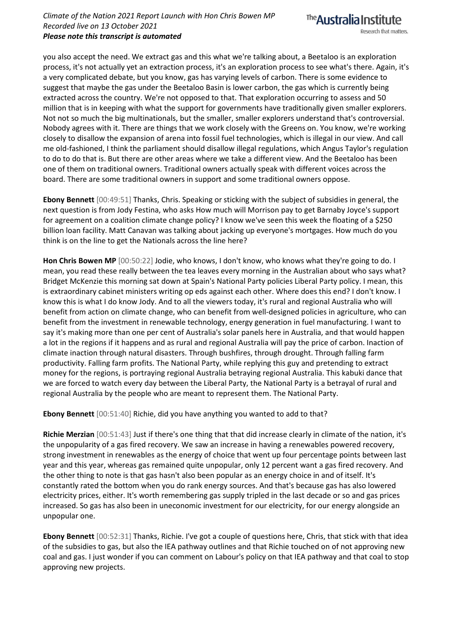

you also accept the need. We extract gas and this what we're talking about, a Beetaloo is an exploration process, it's not actually yet an extraction process, it's an exploration process to see what's there. Again, it's a very complicated debate, but you know, gas has varying levels of carbon. There is some evidence to suggest that maybe the gas under the Beetaloo Basin is lower carbon, the gas which is currently being extracted across the country. We're not opposed to that. That exploration occurring to assess and 50 million that is in keeping with what the support for governments have traditionally given smaller explorers. Not not so much the big multinationals, but the smaller, smaller explorers understand that's controversial. Nobody agrees with it. There are things that we work closely with the Greens on. You know, we're working closely to disallow the expansion of arena into fossil fuel technologies, which is illegal in our view. And call me old-fashioned, I think the parliament should disallow illegal regulations, which Angus Taylor's regulation to do to do that is. But there are other areas where we take a different view. And the Beetaloo has been one of them on traditional owners. Traditional owners actually speak with different voices across the board. There are some traditional owners in support and some traditional owners oppose.

**Ebony Bennett** [00:49:51] Thanks, Chris. Speaking or sticking with the subject of subsidies in general, the next question is from Jody Festina, who asks How much will Morrison pay to get Barnaby Joyce's support for agreement on a coalition climate change policy? I know we've seen this week the floating of a \$250 billion loan facility. Matt Canavan was talking about jacking up everyone's mortgages. How much do you think is on the line to get the Nationals across the line here?

**Hon Chris Bowen MP** [00:50:22] Jodie, who knows, I don't know, who knows what they're going to do. I mean, you read these really between the tea leaves every morning in the Australian about who says what? Bridget McKenzie this morning sat down at Spain's National Party policies Liberal Party policy. I mean, this is extraordinary cabinet ministers writing op eds against each other. Where does this end? I don't know. I know this is what I do know Jody. And to all the viewers today, it's rural and regional Australia who will benefit from action on climate change, who can benefit from well-designed policies in agriculture, who can benefit from the investment in renewable technology, energy generation in fuel manufacturing. I want to say it's making more than one per cent of Australia's solar panels here in Australia, and that would happen a lot in the regions if it happens and as rural and regional Australia will pay the price of carbon. Inaction of climate inaction through natural disasters. Through bushfires, through drought. Through falling farm productivity. Falling farm profits. The National Party, while replying this guy and pretending to extract money for the regions, is portraying regional Australia betraying regional Australia. This kabuki dance that we are forced to watch every day between the Liberal Party, the National Party is a betrayal of rural and regional Australia by the people who are meant to represent them. The National Party.

**Ebony Bennett** [00:51:40] Richie, did you have anything you wanted to add to that?

**Richie Merzian** [00:51:43] Just if there's one thing that that did increase clearly in climate of the nation, it's the unpopularity of a gas fired recovery. We saw an increase in having a renewables powered recovery, strong investment in renewables as the energy of choice that went up four percentage points between last year and this year, whereas gas remained quite unpopular, only 12 percent want a gas fired recovery. And the other thing to note is that gas hasn't also been popular as an energy choice in and of itself. It's constantly rated the bottom when you do rank energy sources. And that's because gas has also lowered electricity prices, either. It's worth remembering gas supply tripled in the last decade or so and gas prices increased. So gas has also been in uneconomic investment for our electricity, for our energy alongside an unpopular one.

**Ebony Bennett** [00:52:31] Thanks, Richie. I've got a couple of questions here, Chris, that stick with that idea of the subsidies to gas, but also the IEA pathway outlines and that Richie touched on of not approving new coal and gas. I just wonder if you can comment on Labour's policy on that IEA pathway and that coal to stop approving new projects.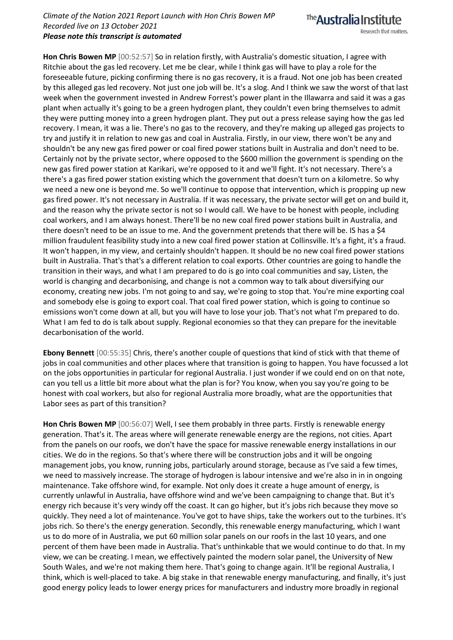The **Australia Institute** 

Research that matters.

**Hon Chris Bowen MP** [00:52:57] So in relation firstly, with Australia's domestic situation, I agree with Ritchie about the gas led recovery. Let me be clear, while I think gas will have to play a role for the foreseeable future, picking confirming there is no gas recovery, it is a fraud. Not one job has been created by this alleged gas led recovery. Not just one job will be. It's a slog. And I think we saw the worst of that last week when the government invested in Andrew Forrest's power plant in the Illawarra and said it was a gas plant when actually it's going to be a green hydrogen plant, they couldn't even bring themselves to admit they were putting money into a green hydrogen plant. They put out a press release saying how the gas led recovery. I mean, it was a lie. There's no gas to the recovery, and they're making up alleged gas projects to try and justify it in relation to new gas and coal in Australia. Firstly, in our view, there won't be any and shouldn't be any new gas fired power or coal fired power stations built in Australia and don't need to be. Certainly not by the private sector, where opposed to the \$600 million the government is spending on the new gas fired power station at Karikari, we're opposed to it and we'll fight. It's not necessary. There's a there's a gas fired power station existing which the government that doesn't turn on a kilometre. So why we need a new one is beyond me. So we'll continue to oppose that intervention, which is propping up new gas fired power. It's not necessary in Australia. If it was necessary, the private sector will get on and build it, and the reason why the private sector is not so I would call. We have to be honest with people, including coal workers, and I am always honest. There'll be no new coal fired power stations built in Australia, and there doesn't need to be an issue to me. And the government pretends that there will be. IS has a \$4 million fraudulent feasibility study into a new coal fired power station at Collinsville. It's a fight, it's a fraud. It won't happen, in my view, and certainly shouldn't happen. It should be no new coal fired power stations built in Australia. That's that's a different relation to coal exports. Other countries are going to handle the transition in their ways, and what I am prepared to do is go into coal communities and say, Listen, the world is changing and decarbonising, and change is not a common way to talk about diversifying our economy, creating new jobs. I'm not going to and say, we're going to stop that. You're mine exporting coal and somebody else is going to export coal. That coal fired power station, which is going to continue so emissions won't come down at all, but you will have to lose your job. That's not what I'm prepared to do. What I am fed to do is talk about supply. Regional economies so that they can prepare for the inevitable decarbonisation of the world.

**Ebony Bennett** [00:55:35] Chris, there's another couple of questions that kind of stick with that theme of jobs in coal communities and other places where that transition is going to happen. You have focussed a lot on the jobs opportunities in particular for regional Australia. I just wonder if we could end on on that note, can you tell us a little bit more about what the plan is for? You know, when you say you're going to be honest with coal workers, but also for regional Australia more broadly, what are the opportunities that Labor sees as part of this transition?

**Hon Chris Bowen MP** [00:56:07] Well, I see them probably in three parts. Firstly is renewable energy generation. That's it. The areas where will generate renewable energy are the regions, not cities. Apart from the panels on our roofs, we don't have the space for massive renewable energy installations in our cities. We do in the regions. So that's where there will be construction jobs and it will be ongoing management jobs, you know, running jobs, particularly around storage, because as I've said a few times, we need to massively increase. The storage of hydrogen is labour intensive and we're also in in in ongoing maintenance. Take offshore wind, for example. Not only does it create a huge amount of energy, is currently unlawful in Australia, have offshore wind and we've been campaigning to change that. But it's energy rich because it's very windy off the coast. It can go higher, but it's jobs rich because they move so quickly. They need a lot of maintenance. You've got to have ships, take the workers out to the turbines. It's jobs rich. So there's the energy generation. Secondly, this renewable energy manufacturing, which I want us to do more of in Australia, we put 60 million solar panels on our roofs in the last 10 years, and one percent of them have been made in Australia. That's unthinkable that we would continue to do that. In my view, we can be creating. I mean, we effectively painted the modern solar panel, the University of New South Wales, and we're not making them here. That's going to change again. It'll be regional Australia, I think, which is well-placed to take. A big stake in that renewable energy manufacturing, and finally, it's just good energy policy leads to lower energy prices for manufacturers and industry more broadly in regional